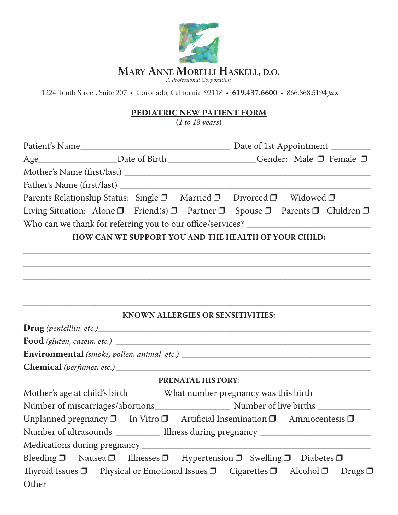

1224 Tenth Street, Suite 207 • Coronado, California 92118 • **619.437.6600** • 866.868.5194 *fax*

## **PEDIATRIC NEW PATIENT FORM**

**(***1 to 18 years***)**

|                                                                                                             |                   | Age____________________Date of Birth _________________Gender: Male □ Female □ |  |  |
|-------------------------------------------------------------------------------------------------------------|-------------------|-------------------------------------------------------------------------------|--|--|
|                                                                                                             |                   |                                                                               |  |  |
|                                                                                                             |                   |                                                                               |  |  |
| Parents Relationship Status: Single □ Married □ Divorced □ Widowed □                                        |                   |                                                                               |  |  |
| Living Situation: Alone $\Box$ Friend(s) $\Box$ Partner $\Box$ Spouse $\Box$ Parents $\Box$ Children $\Box$ |                   |                                                                               |  |  |
| Who can we thank for referring you to our office/services? ______________________                           |                   |                                                                               |  |  |
| HOW CAN WE SUPPORT YOU AND THE HEALTH OF YOUR CHILD:                                                        |                   |                                                                               |  |  |
|                                                                                                             |                   |                                                                               |  |  |
|                                                                                                             |                   |                                                                               |  |  |
|                                                                                                             |                   |                                                                               |  |  |
|                                                                                                             |                   |                                                                               |  |  |
|                                                                                                             |                   |                                                                               |  |  |
| <b>KNOWN ALLERGIES OR SENSITIVITIES:</b>                                                                    |                   |                                                                               |  |  |
|                                                                                                             |                   |                                                                               |  |  |
|                                                                                                             |                   |                                                                               |  |  |
|                                                                                                             |                   |                                                                               |  |  |
|                                                                                                             |                   |                                                                               |  |  |
|                                                                                                             | PRENATAL HISTORY: |                                                                               |  |  |
| Mother's age at child's birth ________ What number pregnancy was this birth ____________                    |                   |                                                                               |  |  |
|                                                                                                             |                   |                                                                               |  |  |
| Unplanned pregnancy $\Box$ In Vitro $\Box$ Artificial Insemination $\Box$ Amniocentesis $\Box$              |                   |                                                                               |  |  |
| Number of ultrasounds _____________ Illness during pregnancy ____________________                           |                   |                                                                               |  |  |
|                                                                                                             |                   |                                                                               |  |  |
| Bleeding $\Box$ Nausea $\Box$ Illnesses $\Box$ Hypertension $\Box$ Swelling $\Box$ Diabetes $\Box$          |                   |                                                                               |  |  |
| Thyroid Issues □ Physical or Emotional Issues □ Cigarettes □ Alcohol □ Drugs □                              |                   |                                                                               |  |  |
|                                                                                                             |                   |                                                                               |  |  |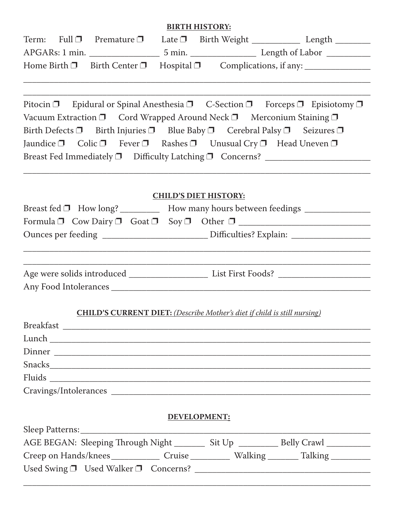## **BIRTH HISTORY:**

| Term: Full $\Box$ Premature $\Box$                                           | Late $\Box$ Birth Weight | Length          |
|------------------------------------------------------------------------------|--------------------------|-----------------|
| APGARs: 1 min.                                                               |                          | Length of Labor |
| Home Birth $\Box$ Birth Center $\Box$ Hospital $\Box$ Complications, if any: |                          |                 |

 $\_$  , and the contribution of the contribution of  $\mathcal{L}_\mathcal{A}$  , and the contribution of  $\mathcal{L}_\mathcal{A}$ 

|  |  |                                                                                                   | Pitocin $\Box$ Epidural or Spinal Anesthesia $\Box$ C-Section $\Box$ Forceps $\Box$ Episiotomy $\Box$ |
|--|--|---------------------------------------------------------------------------------------------------|-------------------------------------------------------------------------------------------------------|
|  |  | Vacuum Extraction $\Box$ Cord Wrapped Around Neck $\Box$ Merconium Staining $\Box$                |                                                                                                       |
|  |  | Birth Defects $\Box$ Birth Injuries $\Box$ Blue Baby $\Box$ Cerebral Palsy $\Box$ Seizures $\Box$ |                                                                                                       |
|  |  | Jaundice $\Box$ Colic $\Box$ Fever $\Box$ Rashes $\Box$ Unusual Cry $\Box$ Head Uneven $\Box$     |                                                                                                       |
|  |  | Breast Fed Immediately $\Box$ Difficulty Latching $\Box$ Concerns?                                |                                                                                                       |

## **CHILD'S DIET HISTORY:**

\_\_\_\_\_\_\_\_\_\_\_\_\_\_\_\_\_\_\_\_\_\_\_\_\_\_\_\_\_\_\_\_\_\_\_\_\_\_\_\_\_\_\_\_\_\_\_\_\_\_\_\_\_\_\_\_\_\_\_\_\_\_\_\_\_\_\_\_\_\_\_\_\_\_\_\_\_\_\_

| Breast fed □ How long? ____________ How many hours between feedings _____________ |
|-----------------------------------------------------------------------------------|
| Formula $\Box$ Cow Dairy $\Box$ Goat $\Box$ Soy $\Box$ Other $\Box$               |
|                                                                                   |
|                                                                                   |
|                                                                                   |
|                                                                                   |
| <b>CHILD'S CURRENT DIET:</b> (Describe Mother's diet if child is still nursing)   |
|                                                                                   |
|                                                                                   |
|                                                                                   |
|                                                                                   |
|                                                                                   |
|                                                                                   |
|                                                                                   |
| DEVELOPMENT:                                                                      |

| Sleep Patterns:                                      |        |        |                              |  |
|------------------------------------------------------|--------|--------|------------------------------|--|
| AGE BEGAN: Sleeping Through Night                    |        | Sit Up | Belly Crawl                  |  |
| Creep on Hands/knees                                 | Cruise |        | _ Walking _______ Talking __ |  |
| Used Swing $\square$ Used Walker $\square$ Concerns? |        |        |                              |  |
|                                                      |        |        |                              |  |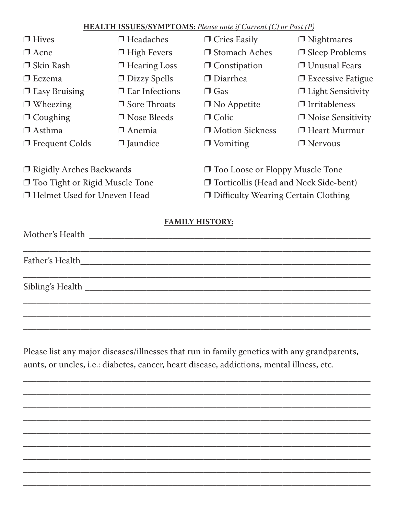## **HEALTH ISSUES/SYMPTOMS:** Please note if Current (C) or Past (P)

| $\Box$ Hives                     | $\Box$ Headaches      | $\Box$ Cries Easily                          | $\Box$ Nightmares        |  |
|----------------------------------|-----------------------|----------------------------------------------|--------------------------|--|
| $\Box$ Acne                      | $\Box$ High Fevers    | □ Stomach Aches                              | $\Box$ Sleep Problems    |  |
| $\Box$ Skin Rash                 | $\Box$ Hearing Loss   | $\Box$ Constipation                          | <b>J</b> Unusual Fears   |  |
| $\Box$ Eczema                    | $\Box$ Dizzy Spells   | $\Box$ Diarrhea                              | $\Box$ Excessive Fatigue |  |
| $\Box$ Easy Bruising             | $\Box$ Ear Infections | $\Box$ Gas                                   | $\Box$ Light Sensitivity |  |
| $\Box$ Wheezing                  | $\Box$ Sore Throats   | $\Box$ No Appetite                           | $\Box$ Irritableness     |  |
| $\Box$ Coughing                  | $\Box$ Nose Bleeds    | $\Box$ Colic                                 | $\Box$ Noise Sensitivity |  |
| $\Box$ Asthma                    | $\Box$ Anemia         | □ Motion Sickness                            | $\Box$ Heart Murmur      |  |
| $\Box$ Frequent Colds            | $\Box$ Jaundice       | $\Box$ Vomiting                              | $\Box$ Nervous           |  |
|                                  |                       |                                              |                          |  |
| $\Box$ Rigidly Arches Backwards  |                       | $\Box$ Too Loose or Floppy Muscle Tone       |                          |  |
| □ Too Tight or Rigid Muscle Tone |                       | $\Box$ Torticollis (Head and Neck Side-bent) |                          |  |
| □ Helmet Used for Uneven Head    |                       | □ Difficulty Wearing Certain Clothing        |                          |  |

**FAMILY HISTORY:** 

Please list any major diseases/illnesses that run in family genetics with any grandparents, aunts, or uncles, i.e.: diabetes, cancer, heart disease, addictions, mental illness, etc.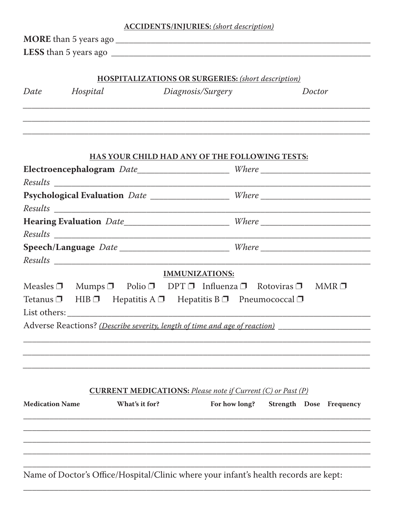| <b>ACCIDENTS/INJURIES:</b> (short description) |                                                                                     |                                                                    |                                                                                                  |  |
|------------------------------------------------|-------------------------------------------------------------------------------------|--------------------------------------------------------------------|--------------------------------------------------------------------------------------------------|--|
|                                                |                                                                                     |                                                                    |                                                                                                  |  |
|                                                |                                                                                     |                                                                    |                                                                                                  |  |
|                                                |                                                                                     |                                                                    |                                                                                                  |  |
|                                                |                                                                                     | <b>HOSPITALIZATIONS OR SURGERIES:</b> (short description)          |                                                                                                  |  |
| Date                                           | Hospital                                                                            | Diagnosis/Surgery                                                  | Doctor                                                                                           |  |
|                                                |                                                                                     |                                                                    |                                                                                                  |  |
|                                                |                                                                                     |                                                                    |                                                                                                  |  |
|                                                |                                                                                     |                                                                    |                                                                                                  |  |
|                                                |                                                                                     | HAS YOUR CHILD HAD ANY OF THE FOLLOWING TESTS:                     |                                                                                                  |  |
|                                                |                                                                                     |                                                                    | Electroencephalogram Date______________________Where ___________________________                 |  |
|                                                |                                                                                     |                                                                    |                                                                                                  |  |
|                                                |                                                                                     |                                                                    | Psychological Evaluation Date _________________ Where __________________________                 |  |
|                                                |                                                                                     |                                                                    |                                                                                                  |  |
|                                                |                                                                                     |                                                                    | Hearing Evaluation Date_________________________Where __________________________                 |  |
|                                                |                                                                                     |                                                                    |                                                                                                  |  |
|                                                |                                                                                     |                                                                    | Speech/Language Date ______________________________Where _______________________                 |  |
|                                                |                                                                                     |                                                                    |                                                                                                  |  |
|                                                |                                                                                     | <b>IMMUNIZATIONS:</b>                                              |                                                                                                  |  |
|                                                |                                                                                     |                                                                    | Measles $\Box$ Mumps $\Box$ Polio $\Box$ DPT $\Box$ Influenza $\Box$ Rotoviras $\Box$ MMR $\Box$ |  |
|                                                | Tetanus $\Box$ HIB $\Box$ Hepatitis A $\Box$ Hepatitis B $\Box$ Pneumococcal $\Box$ |                                                                    |                                                                                                  |  |
|                                                | Adverse Reactions? (Describe severity, length of time and age of reaction)          |                                                                    |                                                                                                  |  |
|                                                |                                                                                     |                                                                    |                                                                                                  |  |
|                                                |                                                                                     |                                                                    |                                                                                                  |  |
|                                                |                                                                                     |                                                                    |                                                                                                  |  |
|                                                |                                                                                     |                                                                    |                                                                                                  |  |
|                                                |                                                                                     | <b>CURRENT MEDICATIONS:</b> Please note if Current (C) or Past (P) |                                                                                                  |  |
| <b>Medication Name</b>                         | What's it for?                                                                      | For how long?                                                      | <b>Strength Dose Frequency</b>                                                                   |  |
|                                                |                                                                                     |                                                                    |                                                                                                  |  |
|                                                |                                                                                     |                                                                    |                                                                                                  |  |
|                                                |                                                                                     |                                                                    |                                                                                                  |  |
|                                                |                                                                                     |                                                                    |                                                                                                  |  |
|                                                |                                                                                     |                                                                    |                                                                                                  |  |
|                                                |                                                                                     |                                                                    | Name of Doctor's Office/Hospital/Clinic where your infant's health records are kept:             |  |